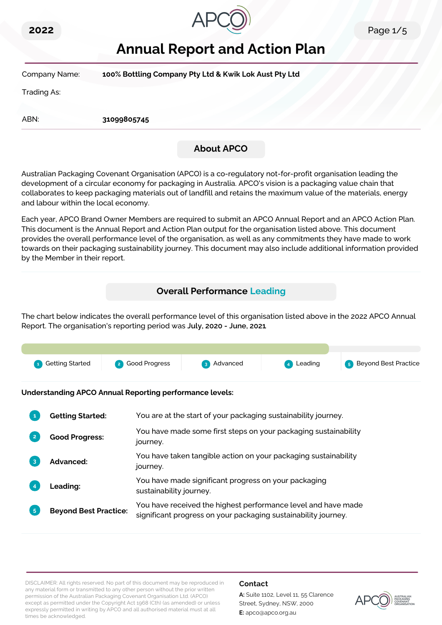



# **Annual Report and Action Plan**

| Company Name: | 100% Bottling Company Pty Ltd & Kwik Lok Aust Pty Ltd |  |
|---------------|-------------------------------------------------------|--|
| Trading As:   |                                                       |  |
| ABN:          | 31099805745                                           |  |
|               | <b>About APCO</b>                                     |  |

Australian Packaging Covenant Organisation (APCO) is a co-regulatory not-for-profit organisation leading the development of a circular economy for packaging in Australia. APCO's vision is a packaging value chain that collaborates to keep packaging materials out of landfill and retains the maximum value of the materials, energy and labour within the local economy.

Each year, APCO Brand Owner Members are required to submit an APCO Annual Report and an APCO Action Plan. This document is the Annual Report and Action Plan output for the organisation listed above. This document provides the overall performance level of the organisation, as well as any commitments they have made to work towards on their packaging sustainability journey. This document may also include additional information provided by the Member in their report.

# **Overall Performance Leading**

The chart below indicates the overall performance level of this organisation listed above in the 2022 APCO Annual Report. The organisation's reporting period was **July, 2020 - June, 2021**.



**Understanding APCO Annual Reporting performance levels:**

|    | <b>Getting Started:</b>      | You are at the start of your packaging sustainability journey.                                                                  |
|----|------------------------------|---------------------------------------------------------------------------------------------------------------------------------|
|    | <b>Good Progress:</b>        | You have made some first steps on your packaging sustainability<br>journey.                                                     |
|    | <b>Advanced:</b>             | You have taken tangible action on your packaging sustainability<br>journey.                                                     |
|    | <b>Leading:</b>              | You have made significant progress on your packaging<br>sustainability journey.                                                 |
| 5. | <b>Beyond Best Practice:</b> | You have received the highest performance level and have made<br>significant progress on your packaging sustainability journey. |

DISCLAIMER: All rights reserved. No part of this document may be reproduced in any material form or transmitted to any other person without the prior written permission of the Australian Packaging Covenant Organisation Ltd. (APCO) except as permitted under the Copyright Act 1968 (Cth) (as amended) or unless expressly permitted in writing by APCO and all authorised material must at all times be acknowledged.

#### **Contact**

**A:** Suite 1102, Level 11, 55 Clarence Street, Sydney, NSW, 2000 **E:** apco@apco.org.au

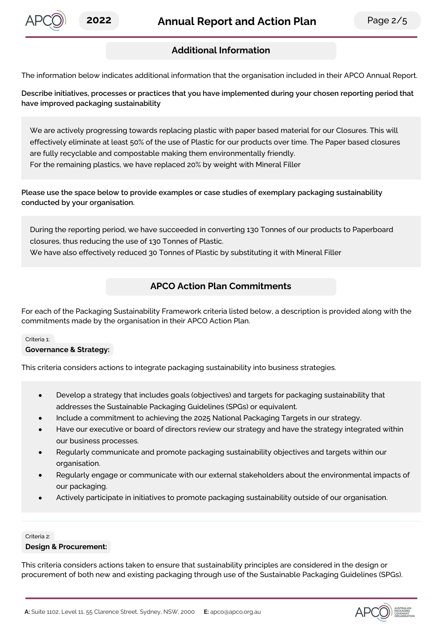

# **Additional Information**

The information below indicates additional information that the organisation included in their APCO Annual Report.

**Describe initiatives, processes or practices that you have implemented during your chosen reporting period that have improved packaging sustainability**

We are actively progressing towards replacing plastic with paper based material for our Closures. This will effectively eliminate at least 50% of the use of Plastic for our products over time. The Paper based closures are fully recyclable and compostable making them environmentally friendly. For the remaining plastics, we have replaced 20% by weight with Mineral Filler

**Please use the space below to provide examples or case studies of exemplary packaging sustainability conducted by your organisation.**

During the reporting period, we have succeeded in converting 130 Tonnes of our products to Paperboard closures, thus reducing the use of 130 Tonnes of Plastic.

We have also effectively reduced 30 Tonnes of Plastic by substituting it with Mineral Filler

# **APCO Action Plan Commitments**

For each of the Packaging Sustainability Framework criteria listed below, a description is provided along with the commitments made by the organisation in their APCO Action Plan.

#### Criteria 1:

#### **Governance & Strategy:**

This criteria considers actions to integrate packaging sustainability into business strategies.

- Develop a strategy that includes goals (objectives) and targets for packaging sustainability that addresses the Sustainable Packaging Guidelines (SPGs) or equivalent.
- Include a commitment to achieving the 2025 National Packaging Targets in our strategy.
- Have our executive or board of directors review our strategy and have the strategy integrated within our business processes.
- Regularly communicate and promote packaging sustainability objectives and targets within our organisation.
- Regularly engage or communicate with our external stakeholders about the environmental impacts of our packaging.
- Actively participate in initiatives to promote packaging sustainability outside of our organisation.

#### Criteria 2:

#### **Design & Procurement:**

This criteria considers actions taken to ensure that sustainability principles are considered in the design or procurement of both new and existing packaging through use of the Sustainable Packaging Guidelines (SPGs).

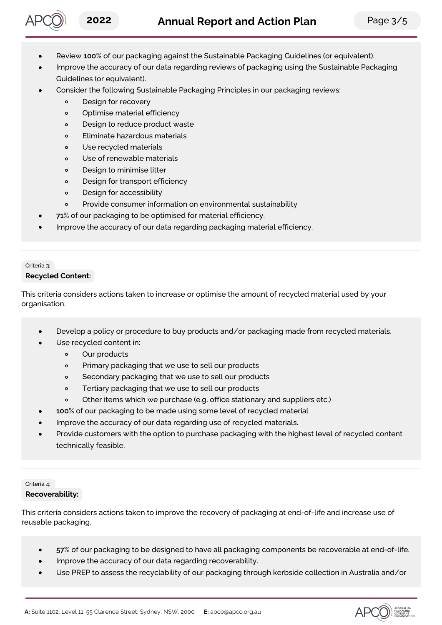

- Review **100**% of our packaging against the Sustainable Packaging Guidelines (or equivalent).
- Improve the accuracy of our data regarding reviews of packaging using the Sustainable Packaging Guidelines (or equivalent).
- Consider the following Sustainable Packaging Principles in our packaging reviews:
	- Design for recovery  $\circ$
	- $\circ$ Optimise material efficiency
	- $\circ$ Design to reduce product waste
	- $\circ$ Eliminate hazardous materials
	- Use recycled materials  $\circ$
	- Use of renewable materials  $\circ$
	- Design to minimise litter  $\Omega$
	- $\circ$ Design for transport efficiency
	- Design for accessibility  $\circ$
	- Provide consumer information on environmental sustainability  $\circ$
- **71**% of our packaging to be optimised for material efficiency.
- Improve the accuracy of our data regarding packaging material efficiency.

## Criteria 3: **Recycled Content:**

This criteria considers actions taken to increase or optimise the amount of recycled material used by your organisation.

- Develop a policy or procedure to buy products and/or packaging made from recycled materials.
- Use recycled content in:
	- $\circ$ Our products
	- Primary packaging that we use to sell our products  $\Omega$
	- $\circ$ Secondary packaging that we use to sell our products
	- Tertiary packaging that we use to sell our products  $\Omega$
	- Other items which we purchase (e.g. office stationary and suppliers etc.)  $\circ$
- **100**% of our packaging to be made using some level of recycled material
- Improve the accuracy of our data regarding use of recycled materials.
- Provide customers with the option to purchase packaging with the highest level of recycled content technically feasible.

# Criteria 4:

# **Recoverability:**

This criteria considers actions taken to improve the recovery of packaging at end-of-life and increase use of reusable packaging.

- **57**% of our packaging to be designed to have all packaging components be recoverable at end-of-life.
- Improve the accuracy of our data regarding recoverability.
- Use PREP to assess the recyclability of our packaging through kerbside collection in Australia and/or

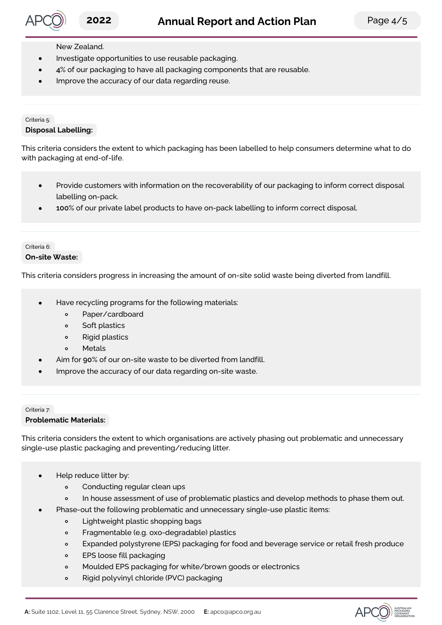# **2022 Annual Report and Action Plan** Page 4/5

## New Zealand.

- Investigate opportunities to use reusable packaging.
- **4**% of our packaging to have all packaging components that are reusable.
- Improve the accuracy of our data regarding reuse.

#### Criteria 5: **Disposal Labelling:**

This criteria considers the extent to which packaging has been labelled to help consumers determine what to do with packaging at end-of-life.

- Provide customers with information on the recoverability of our packaging to inform correct disposal labelling on-pack.
- **100**% of our private label products to have on-pack labelling to inform correct disposal.

#### Criteria 6: **On-site Waste:**

This criteria considers progress in increasing the amount of on-site solid waste being diverted from landfill.

- Have recycling programs for the following materials:
	- Paper/cardboard  $\circ$
	- Soft plastics  $\circ$
	- $\circ$ Rigid plastics
	- $\circ$ Metals
	- Aim for **90**% of our on-site waste to be diverted from landfill.
- Improve the accuracy of our data regarding on-site waste.

## Criteria 7: **Problematic Materials:**

This criteria considers the extent to which organisations are actively phasing out problematic and unnecessary single-use plastic packaging and preventing/reducing litter.

- Help reduce litter by:
	- $\circ$ Conducting regular clean ups
	- $\circ$ In house assessment of use of problematic plastics and develop methods to phase them out.
- Phase-out the following problematic and unnecessary single-use plastic items:
	- Lightweight plastic shopping bags  $\circ$
	- $\circ$ Fragmentable (e.g. oxo-degradable) plastics
	- $\circ$ Expanded polystyrene (EPS) packaging for food and beverage service or retail fresh produce
	- EPS loose fill packaging  $\circ$
	- Moulded EPS packaging for white/brown goods or electronics  $\circ$
	- Rigid polyvinyl chloride (PVC) packaging  $\circ$